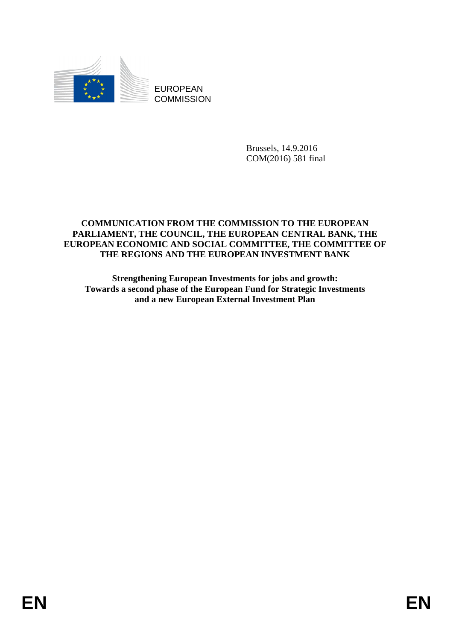

EUROPEAN **COMMISSION** 

> Brussels, 14.9.2016 COM(2016) 581 final

#### **COMMUNICATION FROM THE COMMISSION TO THE EUROPEAN PARLIAMENT, THE COUNCIL, THE EUROPEAN CENTRAL BANK, THE EUROPEAN ECONOMIC AND SOCIAL COMMITTEE, THE COMMITTEE OF THE REGIONS AND THE EUROPEAN INVESTMENT BANK**

**Strengthening European Investments for jobs and growth: Towards a second phase of the European Fund for Strategic Investments and a new European External Investment Plan**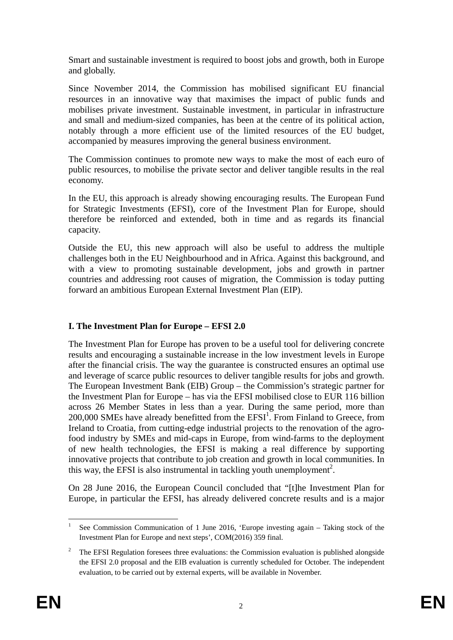Smart and sustainable investment is required to boost jobs and growth, both in Europe and globally.

Since November 2014, the Commission has mobilised significant EU financial resources in an innovative way that maximises the impact of public funds and mobilises private investment. Sustainable investment, in particular in infrastructure and small and medium-sized companies, has been at the centre of its political action, notably through a more efficient use of the limited resources of the EU budget, accompanied by measures improving the general business environment.

The Commission continues to promote new ways to make the most of each euro of public resources, to mobilise the private sector and deliver tangible results in the real economy.

In the EU, this approach is already showing encouraging results. The European Fund for Strategic Investments (EFSI), core of the Investment Plan for Europe, should therefore be reinforced and extended, both in time and as regards its financial capacity.

Outside the EU, this new approach will also be useful to address the multiple challenges both in the EU Neighbourhood and in Africa. Against this background, and with a view to promoting sustainable development, jobs and growth in partner countries and addressing root causes of migration, the Commission is today putting forward an ambitious European External Investment Plan (EIP).

## **I. The Investment Plan for Europe – EFSI 2.0**

The Investment Plan for Europe has proven to be a useful tool for delivering concrete results and encouraging a sustainable increase in the low investment levels in Europe after the financial crisis. The way the guarantee is constructed ensures an optimal use and leverage of scarce public resources to deliver tangible results for jobs and growth. The European Investment Bank (EIB) Group – the Commission's strategic partner for the Investment Plan for Europe – has via the EFSI mobilised close to EUR 116 billion across 26 Member States in less than a year. During the same period, more than 200,000 SMEs have already benefitted from the EFSI<sup>1</sup>. From Finland to Greece, from Ireland to Croatia, from cutting-edge industrial projects to the renovation of the agrofood industry by SMEs and mid-caps in Europe, from wind-farms to the deployment of new health technologies, the EFSI is making a real difference by supporting innovative projects that contribute to job creation and growth in local communities. In this way, the EFSI is also instrumental in tackling youth unemployment<sup>2</sup>.

On 28 June 2016, the European Council concluded that "[t]he Investment Plan for Europe, in particular the EFSI, has already delivered concrete results and is a major

<sup>1</sup> 1 See Commission Communication of 1 June 2016, 'Europe investing again – Taking stock of the Investment Plan for Europe and next steps', COM(2016) 359 final.

<sup>&</sup>lt;sup>2</sup> The EFSI Regulation foresees three evaluations: the Commission evaluation is published alongside the EFSI 2.0 proposal and the EIB evaluation is currently scheduled for October. The independent evaluation, to be carried out by external experts, will be available in November.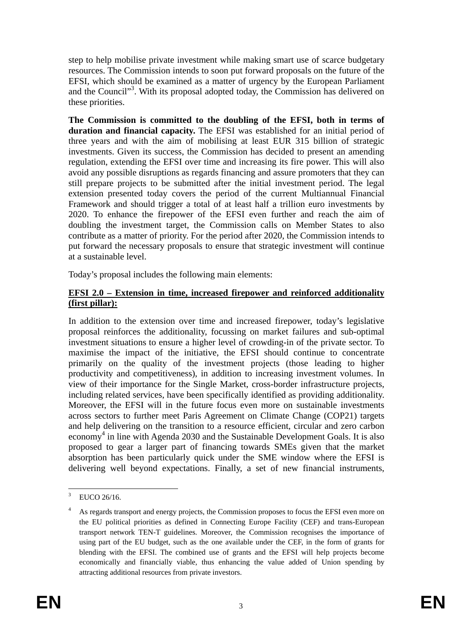step to help mobilise private investment while making smart use of scarce budgetary resources. The Commission intends to soon put forward proposals on the future of the EFSI, which should be examined as a matter of urgency by the European Parliament and the Council"<sup>3</sup>. With its proposal adopted today, the Commission has delivered on these priorities.

**The Commission is committed to the doubling of the EFSI, both in terms of duration and financial capacity.** The EFSI was established for an initial period of three years and with the aim of mobilising at least EUR 315 billion of strategic investments. Given its success, the Commission has decided to present an amending regulation, extending the EFSI over time and increasing its fire power. This will also avoid any possible disruptions as regards financing and assure promoters that they can still prepare projects to be submitted after the initial investment period. The legal extension presented today covers the period of the current Multiannual Financial Framework and should trigger a total of at least half a trillion euro investments by 2020. To enhance the firepower of the EFSI even further and reach the aim of doubling the investment target, the Commission calls on Member States to also contribute as a matter of priority. For the period after 2020, the Commission intends to put forward the necessary proposals to ensure that strategic investment will continue at a sustainable level.

Today's proposal includes the following main elements:

#### **EFSI 2.0 – Extension in time, increased firepower and reinforced additionality (first pillar):**

In addition to the extension over time and increased firepower, today's legislative proposal reinforces the additionality, focussing on market failures and sub-optimal investment situations to ensure a higher level of crowding-in of the private sector. To maximise the impact of the initiative, the EFSI should continue to concentrate primarily on the quality of the investment projects (those leading to higher productivity and competitiveness), in addition to increasing investment volumes. In view of their importance for the Single Market, cross-border infrastructure projects, including related services, have been specifically identified as providing additionality. Moreover, the EFSI will in the future focus even more on sustainable investments across sectors to further meet Paris Agreement on Climate Change (COP21) targets and help delivering on the transition to a resource efficient, circular and zero carbon economy<sup>4</sup> in line with Agenda 2030 and the Sustainable Development Goals. It is also proposed to gear a larger part of financing towards SMEs given that the market absorption has been particularly quick under the SME window where the EFSI is delivering well beyond expectations. Finally, a set of new financial instruments,

 $\overline{\phantom{a}}$ 3 EUCO 26/16.

<sup>4</sup> As regards transport and energy projects, the Commission proposes to focus the EFSI even more on the EU political priorities as defined in Connecting Europe Facility (CEF) and trans-European transport network TEN-T guidelines. Moreover, the Commission recognises the importance of using part of the EU budget, such as the one available under the CEF, in the form of grants for blending with the EFSI. The combined use of grants and the EFSI will help projects become economically and financially viable, thus enhancing the value added of Union spending by attracting additional resources from private investors.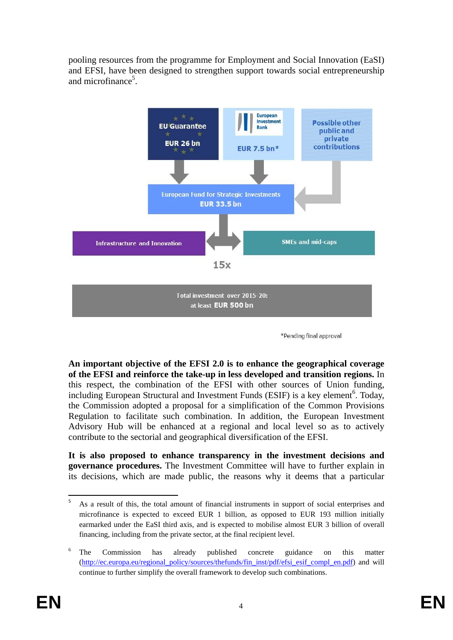pooling resources from the programme for Employment and Social Innovation (EaSI) and EFSI, have been designed to strengthen support towards social entrepreneurship and microfinance<sup>5</sup>.



\*Pending final approval

**An important objective of the EFSI 2.0 is to enhance the geographical coverage of the EFSI and reinforce the take-up in less developed and transition regions.** In this respect, the combination of the EFSI with other sources of Union funding, including European Structural and Investment Funds (ESIF) is a key element<sup>6</sup>. Today, the Commission adopted a proposal for a simplification of the Common Provisions Regulation to facilitate such combination. In addition, the European Investment Advisory Hub will be enhanced at a regional and local level so as to actively contribute to the sectorial and geographical diversification of the EFSI.

**It is also proposed to enhance transparency in the investment decisions and governance procedures.** The Investment Committee will have to further explain in its decisions, which are made public, the reasons why it deems that a particular

<sup>-&</sup>lt;br>5 As a result of this, the total amount of financial instruments in support of social enterprises and microfinance is expected to exceed EUR 1 billion, as opposed to EUR 193 million initially earmarked under the EaSI third axis, and is expected to mobilise almost EUR 3 billion of overall financing, including from the private sector, at the final recipient level.

<sup>6</sup> The Commission has already published concrete guidance on this matter [\(http://ec.europa.eu/regional\\_policy/sources/thefunds/fin\\_inst/pdf/efsi\\_esif\\_compl\\_en.pdf\)](http://ec.europa.eu/regional_policy/sources/thefunds/fin_inst/pdf/efsi_esif_compl_en.pdf) and will continue to further simplify the overall framework to develop such combinations.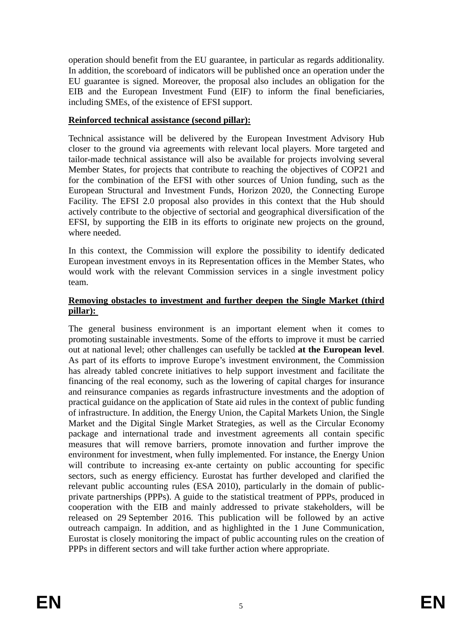operation should benefit from the EU guarantee, in particular as regards additionality. In addition, the scoreboard of indicators will be published once an operation under the EU guarantee is signed. Moreover, the proposal also includes an obligation for the EIB and the European Investment Fund (EIF) to inform the final beneficiaries, including SMEs, of the existence of EFSI support.

### **Reinforced technical assistance (second pillar):**

Technical assistance will be delivered by the European Investment Advisory Hub closer to the ground via agreements with relevant local players. More targeted and tailor-made technical assistance will also be available for projects involving several Member States, for projects that contribute to reaching the objectives of COP21 and for the combination of the EFSI with other sources of Union funding, such as the European Structural and Investment Funds, Horizon 2020, the Connecting Europe Facility. The EFSI 2.0 proposal also provides in this context that the Hub should actively contribute to the objective of sectorial and geographical diversification of the EFSI, by supporting the EIB in its efforts to originate new projects on the ground, where needed.

In this context, the Commission will explore the possibility to identify dedicated European investment envoys in its Representation offices in the Member States, who would work with the relevant Commission services in a single investment policy team.

### **Removing obstacles to investment and further deepen the Single Market (third pillar):**

The general business environment is an important element when it comes to promoting sustainable investments. Some of the efforts to improve it must be carried out at national level; other challenges can usefully be tackled **at the European level**. As part of its efforts to improve Europe's investment environment, the Commission has already tabled concrete initiatives to help support investment and facilitate the financing of the real economy, such as the lowering of capital charges for insurance and reinsurance companies as regards infrastructure investments and the adoption of practical guidance on the application of State aid rules in the context of public funding of infrastructure. In addition, the Energy Union, the Capital Markets Union, the Single Market and the Digital Single Market Strategies, as well as the Circular Economy package and international trade and investment agreements all contain specific measures that will remove barriers, promote innovation and further improve the environment for investment, when fully implemented. For instance, the Energy Union will contribute to increasing ex-ante certainty on public accounting for specific sectors, such as energy efficiency. Eurostat has further developed and clarified the relevant public accounting rules (ESA 2010), particularly in the domain of publicprivate partnerships (PPPs). A guide to the statistical treatment of PPPs, produced in cooperation with the EIB and mainly addressed to private stakeholders, will be released on 29 September 2016. This publication will be followed by an active outreach campaign. In addition, and as highlighted in the 1 June Communication, Eurostat is closely monitoring the impact of public accounting rules on the creation of PPPs in different sectors and will take further action where appropriate.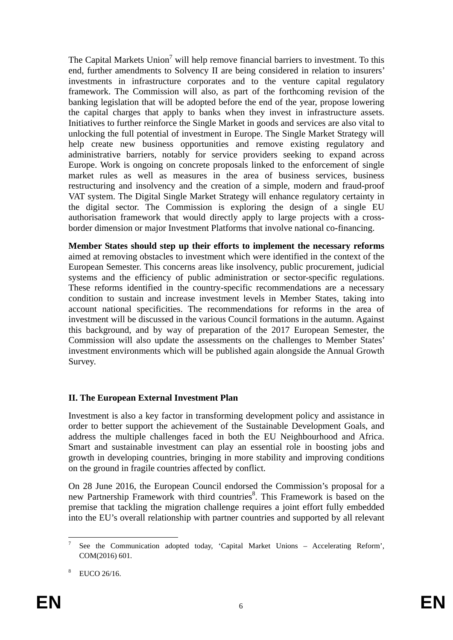The Capital Markets Union<sup>7</sup> will help remove financial barriers to investment. To this end, further amendments to Solvency II are being considered in relation to insurers' investments in infrastructure corporates and to the venture capital regulatory framework. The Commission will also, as part of the forthcoming revision of the banking legislation that will be adopted before the end of the year, propose lowering the capital charges that apply to banks when they invest in infrastructure assets. Initiatives to further reinforce the Single Market in goods and services are also vital to unlocking the full potential of investment in Europe. The Single Market Strategy will help create new business opportunities and remove existing regulatory and administrative barriers, notably for service providers seeking to expand across Europe. Work is ongoing on concrete proposals linked to the enforcement of single market rules as well as measures in the area of business services, business restructuring and insolvency and the creation of a simple, modern and fraud-proof VAT system. The Digital Single Market Strategy will enhance regulatory certainty in the digital sector. The Commission is exploring the design of a single EU authorisation framework that would directly apply to large projects with a crossborder dimension or major Investment Platforms that involve national co-financing.

**Member States should step up their efforts to implement the necessary reforms** aimed at removing obstacles to investment which were identified in the context of the European Semester. This concerns areas like insolvency, public procurement, judicial systems and the efficiency of public administration or sector-specific regulations. These reforms identified in the country-specific recommendations are a necessary condition to sustain and increase investment levels in Member States, taking into account national specificities. The recommendations for reforms in the area of investment will be discussed in the various Council formations in the autumn. Against this background, and by way of preparation of the 2017 European Semester, the Commission will also update the assessments on the challenges to Member States' investment environments which will be published again alongside the Annual Growth Survey.

# **II. The European External Investment Plan**

Investment is also a key factor in transforming development policy and assistance in order to better support the achievement of the Sustainable Development Goals, and address the multiple challenges faced in both the EU Neighbourhood and Africa. Smart and sustainable investment can play an essential role in boosting jobs and growth in developing countries, bringing in more stability and improving conditions on the ground in fragile countries affected by conflict.

On 28 June 2016, the European Council endorsed the Commission's proposal for a new Partnership Framework with third countries<sup>8</sup>. This Framework is based on the premise that tackling the migration challenge requires a joint effort fully embedded into the EU's overall relationship with partner countries and supported by all relevant

**<sup>.</sup>** 7 See the Communication adopted today, 'Capital Market Unions – Accelerating Reform', COM(2016) 601.

<sup>8</sup> EUCO 26/16.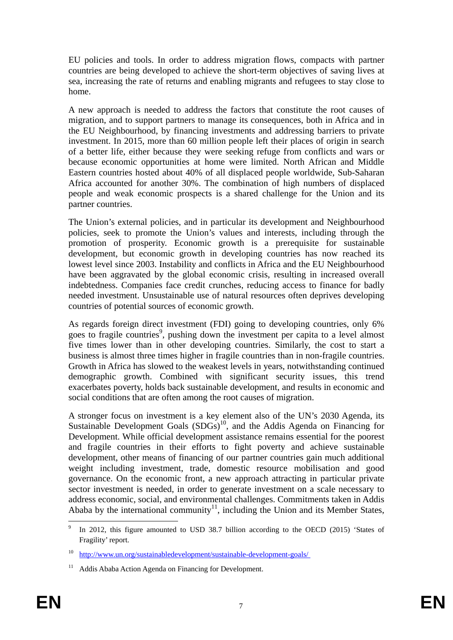EU policies and tools. In order to address migration flows, compacts with partner countries are being developed to achieve the short-term objectives of saving lives at sea, increasing the rate of returns and enabling migrants and refugees to stay close to home.

A new approach is needed to address the factors that constitute the root causes of migration, and to support partners to manage its consequences, both in Africa and in the EU Neighbourhood, by financing investments and addressing barriers to private investment. In 2015, more than 60 million people left their places of origin in search of a better life, either because they were seeking refuge from conflicts and wars or because economic opportunities at home were limited. North African and Middle Eastern countries hosted about 40% of all displaced people worldwide, Sub-Saharan Africa accounted for another 30%. The combination of high numbers of displaced people and weak economic prospects is a shared challenge for the Union and its partner countries.

The Union's external policies, and in particular its development and Neighbourhood policies, seek to promote the Union's values and interests, including through the promotion of prosperity. Economic growth is a prerequisite for sustainable development, but economic growth in developing countries has now reached its lowest level since 2003. Instability and conflicts in Africa and the EU Neighbourhood have been aggravated by the global economic crisis, resulting in increased overall indebtedness. Companies face credit crunches, reducing access to finance for badly needed investment. Unsustainable use of natural resources often deprives developing countries of potential sources of economic growth.

As regards foreign direct investment (FDI) going to developing countries, only 6% goes to fragile countries<sup>9</sup>, pushing down the investment per capita to a level almost five times lower than in other developing countries. Similarly, the cost to start a business is almost three times higher in fragile countries than in non-fragile countries. Growth in Africa has slowed to the weakest levels in years, notwithstanding continued demographic growth. Combined with significant security issues, this trend exacerbates poverty, holds back sustainable development, and results in economic and social conditions that are often among the root causes of migration.

A stronger focus on investment is a key element also of the UN's 2030 Agenda, its Sustainable Development Goals  $(SDGs)^{10}$ , and the Addis Agenda on Financing for Development. While official development assistance remains essential for the poorest and fragile countries in their efforts to fight poverty and achieve sustainable development, other means of financing of our partner countries gain much additional weight including investment, trade, domestic resource mobilisation and good governance. On the economic front, a new approach attracting in particular private sector investment is needed, in order to generate investment on a scale necessary to address economic, social, and environmental challenges. Commitments taken in Addis Ababa by the international community<sup>11</sup>, including the Union and its Member States,

<sup>-&</sup>lt;br>9 In 2012, this figure amounted to USD 38.7 billion according to the OECD (2015) 'States of Fragility' report.

<sup>10</sup> [http://www.un.org/sustainabledevelopment/sust](http://www.un.org/sustainabledevelopment/sustainable-development-goals/%20)ainable-development-goals/

<sup>&</sup>lt;sup>11</sup> Addis Ababa Action Agenda on Financing for Development.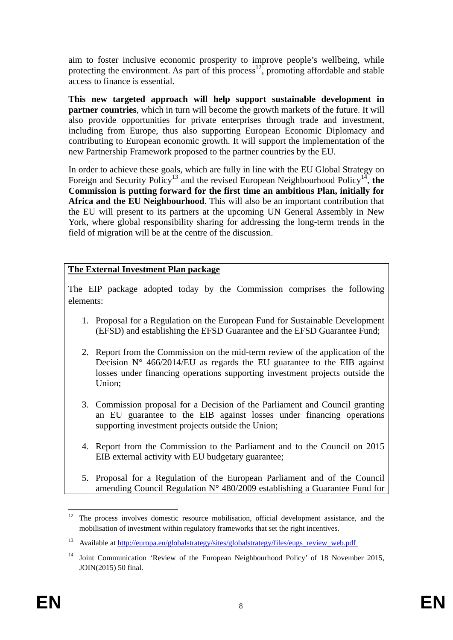aim to foster inclusive economic prosperity to improve people's wellbeing, while protecting the environment. As part of this process<sup>12</sup>, promoting affordable and stable access to finance is essential.

**This new targeted approach will help support sustainable development in partner countries**, which in turn will become the growth markets of the future. It will also provide opportunities for private enterprises through trade and investment, including from Europe, thus also supporting European Economic Diplomacy and contributing to European economic growth. It will support the implementation of the new Partnership Framework proposed to the partner countries by the EU.

In order to achieve these goals, which are fully in line with the EU Global Strategy on Foreign and Security Policy<sup>13</sup> and the revised European Neighbourhood Policy<sup>14</sup>, the **Commission is putting forward for the first time an ambitious Plan, initially for Africa and the EU Neighbourhood**. This will also be an important contribution that the EU will present to its partners at the upcoming UN General Assembly in New York, where global responsibility sharing for addressing the long-term trends in the field of migration will be at the centre of the discussion.

### **The External Investment Plan package**

The EIP package adopted today by the Commission comprises the following elements:

- 1. Proposal for a Regulation on the European Fund for Sustainable Development (EFSD) and establishing the EFSD Guarantee and the EFSD Guarantee Fund;
- 2. Report from the Commission on the mid-term review of the application of the Decision  $N^{\circ}$  466/2014/EU as regards the EU guarantee to the EIB against losses under financing operations supporting investment projects outside the Union;
- 3. Commission proposal for a Decision of the Parliament and Council granting an EU guarantee to the EIB against losses under financing operations supporting investment projects outside the Union;
- 4. Report from the Commission to the Parliament and to the Council on 2015 EIB external activity with EU budgetary guarantee;
- 5. Proposal for a Regulation of the European Parliament and of the Council amending Council Regulation  $N^{\circ}$  480/2009 establishing a Guarantee Fund for

 $12$ 12 The process involves domestic resource mobilisation, official development assistance, and the mobilisation of investment within regulatory frameworks that set the right incentives.

<sup>&</sup>lt;sup>13</sup> Available a[t http://europa.eu/glo](http://europa.eu/globalstrategy/sites/globalstrategy/files/eugs_review_web.pdf%20%0D)balstrategy/sites/globalstrategy/files/eugs\_review\_web.pdf

<sup>&</sup>lt;sup>14</sup> Joint Communication 'Review of the European Neighbourhood Policy' of 18 November 2015, JOIN(2015) 50 final.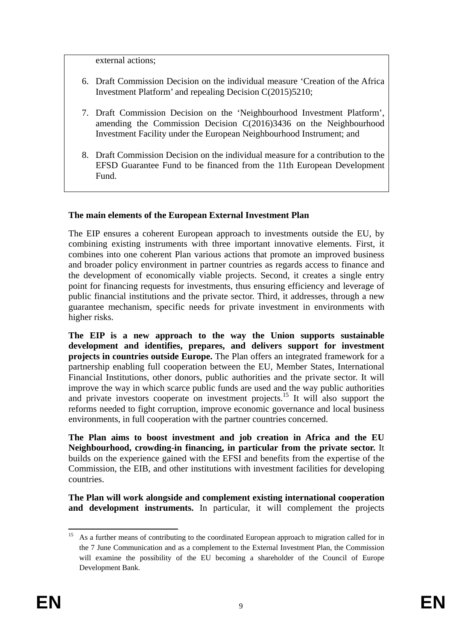external actions;

- 6. Draft Commission Decision on the individual measure 'Creation of the Africa Investment Platform' and repealing Decision C(2015)5210;
- 7. Draft Commission Decision on the 'Neighbourhood Investment Platform', amending the Commission Decision C(2016)3436 on the Neighbourhood Investment Facility under the European Neighbourhood Instrument; and
- 8. Draft Commission Decision on the individual measure for a contribution to the EFSD Guarantee Fund to be financed from the 11th European Development Fund.

### **The main elements of the European External Investment Plan**

The EIP ensures a coherent European approach to investments outside the EU, by combining existing instruments with three important innovative elements. First, it combines into one coherent Plan various actions that promote an improved business and broader policy environment in partner countries as regards access to finance and the development of economically viable projects. Second, it creates a single entry point for financing requests for investments, thus ensuring efficiency and leverage of public financial institutions and the private sector. Third, it addresses, through a new guarantee mechanism, specific needs for private investment in environments with higher risks.

**The EIP is a new approach to the way the Union supports sustainable development and identifies, prepares, and delivers support for investment projects in countries outside Europe.** The Plan offers an integrated framework for a partnership enabling full cooperation between the EU, Member States, International Financial Institutions, other donors, public authorities and the private sector. It will improve the way in which scarce public funds are used and the way public authorities and private investors cooperate on investment projects.<sup>15</sup> It will also support the reforms needed to fight corruption, improve economic governance and local business environments, in full cooperation with the partner countries concerned.

**The Plan aims to boost investment and job creation in Africa and the EU Neighbourhood, crowding-in financing, in particular from the private sector.** It builds on the experience gained with the EFSI and benefits from the expertise of the Commission, the EIB, and other institutions with investment facilities for developing countries.

**The Plan will work alongside and complement existing international cooperation and development instruments.** In particular, it will complement the projects

 $15\,$ 15 As a further means of contributing to the coordinated European approach to migration called for in the 7 June Communication and as a complement to the External Investment Plan, the Commission will examine the possibility of the EU becoming a shareholder of the Council of Europe Development Bank.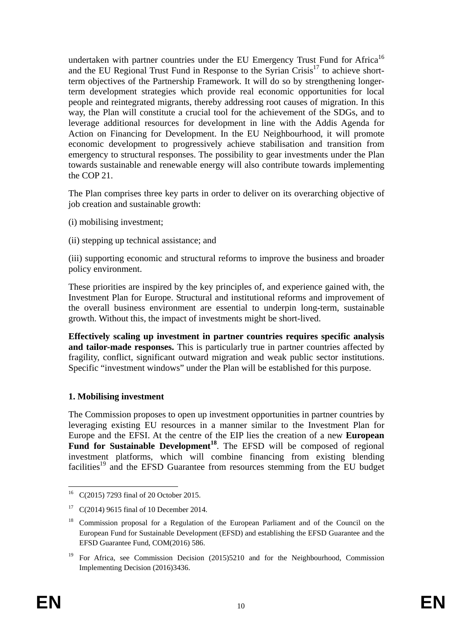undertaken with partner countries under the EU Emergency Trust Fund for Africa<sup>16</sup> and the EU Regional Trust Fund in Response to the Syrian Crisis<sup>17</sup> to achieve shortterm objectives of the Partnership Framework. It will do so by strengthening longerterm development strategies which provide real economic opportunities for local people and reintegrated migrants, thereby addressing root causes of migration. In this way, the Plan will constitute a crucial tool for the achievement of the SDGs, and to leverage additional resources for development in line with the Addis Agenda for Action on Financing for Development. In the EU Neighbourhood, it will promote economic development to progressively achieve stabilisation and transition from emergency to structural responses. The possibility to gear investments under the Plan towards sustainable and renewable energy will also contribute towards implementing the COP 21.

The Plan comprises three key parts in order to deliver on its overarching objective of job creation and sustainable growth:

- (i) mobilising investment;
- (ii) stepping up technical assistance; and

(iii) supporting economic and structural reforms to improve the business and broader policy environment.

These priorities are inspired by the key principles of, and experience gained with, the Investment Plan for Europe. Structural and institutional reforms and improvement of the overall business environment are essential to underpin long-term, sustainable growth. Without this, the impact of investments might be short-lived.

**Effectively scaling up investment in partner countries requires specific analysis and tailor-made responses.** This is particularly true in partner countries affected by fragility, conflict, significant outward migration and weak public sector institutions. Specific "investment windows" under the Plan will be established for this purpose.

### **1. Mobilising investment**

The Commission proposes to open up investment opportunities in partner countries by leveraging existing EU resources in a manner similar to the Investment Plan for Europe and the EFSI. At the centre of the EIP lies the creation of a new **European**  Fund for Sustainable Development<sup>18</sup>. The EFSD will be composed of regional investment platforms, which will combine financing from existing blending facilities<sup>19</sup> and the EFSD Guarantee from resources stemming from the EU budget

<sup>1</sup> 16 C(2015) 7293 final of 20 October 2015.

<sup>&</sup>lt;sup>17</sup> C(2014) 9615 final of 10 December 2014.

<sup>&</sup>lt;sup>18</sup> Commission proposal for a Regulation of the European Parliament and of the Council on the European Fund for Sustainable Development (EFSD) and establishing the EFSD Guarantee and the EFSD Guarantee Fund, COM(2016) 586.

<sup>&</sup>lt;sup>19</sup> For Africa, see Commission Decision (2015)5210 and for the Neighbourhood, Commission Implementing Decision (2016)3436.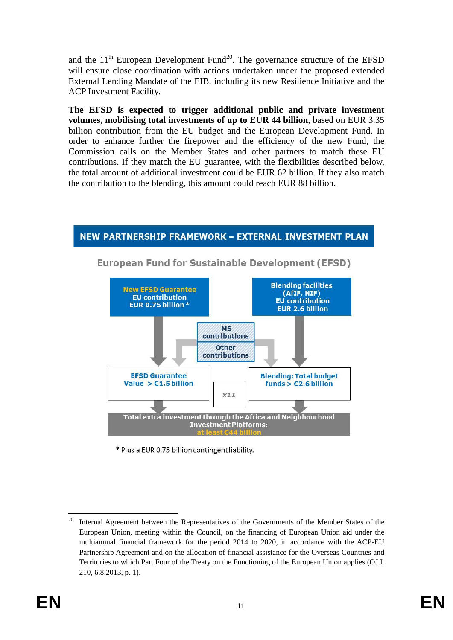and the  $11<sup>th</sup>$  European Development Fund<sup>20</sup>. The governance structure of the EFSD will ensure close coordination with actions undertaken under the proposed extended External Lending Mandate of the EIB, including its new Resilience Initiative and the ACP Investment Facility.

**The EFSD is expected to trigger additional public and private investment volumes, mobilising total investments of up to EUR 44 billion**, based on EUR 3.35 billion contribution from the EU budget and the European Development Fund. In order to enhance further the firepower and the efficiency of the new Fund, the Commission calls on the Member States and other partners to match these EU contributions. If they match the EU guarantee, with the flexibilities described below, the total amount of additional investment could be EUR 62 billion. If they also match the contribution to the blending, this amount could reach EUR 88 billion.

### NEW PARTNERSHIP FRAMEWORK - EXTERNAL INVESTMENT PLAN



**European Fund for Sustainable Development (EFSD)** 

\* Plus a EUR 0.75 billion contingent liability.

<sup>20</sup> <sup>20</sup> Internal Agreement between the Representatives of the Governments of the Member States of the European Union, meeting within the Council, on the financing of European Union aid under the multiannual financial framework for the period 2014 to 2020, in accordance with the ACP-EU Partnership Agreement and on the allocation of financial assistance for the Overseas Countries and Territories to which Part Four of the Treaty on the Functioning of the European Union applies (OJ L 210, 6.8.2013, p. 1).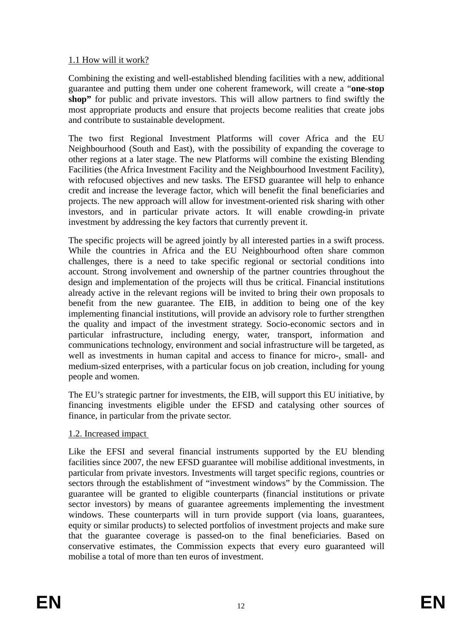## 1.1 How will it work?

Combining the existing and well-established blending facilities with a new, additional guarantee and putting them under one coherent framework, will create a "**one-stop shop"** for public and private investors. This will allow partners to find swiftly the most appropriate products and ensure that projects become realities that create jobs and contribute to sustainable development.

The two first Regional Investment Platforms will cover Africa and the EU Neighbourhood (South and East), with the possibility of expanding the coverage to other regions at a later stage. The new Platforms will combine the existing Blending Facilities (the Africa Investment Facility and the Neighbourhood Investment Facility), with refocused objectives and new tasks. The EFSD guarantee will help to enhance credit and increase the leverage factor, which will benefit the final beneficiaries and projects. The new approach will allow for investment-oriented risk sharing with other investors, and in particular private actors. It will enable crowding-in private investment by addressing the key factors that currently prevent it.

The specific projects will be agreed jointly by all interested parties in a swift process. While the countries in Africa and the EU Neighbourhood often share common challenges, there is a need to take specific regional or sectorial conditions into account. Strong involvement and ownership of the partner countries throughout the design and implementation of the projects will thus be critical. Financial institutions already active in the relevant regions will be invited to bring their own proposals to benefit from the new guarantee. The EIB, in addition to being one of the key implementing financial institutions, will provide an advisory role to further strengthen the quality and impact of the investment strategy. Socio-economic sectors and in particular infrastructure, including energy, water, transport, information and communications technology, environment and social infrastructure will be targeted, as well as investments in human capital and access to finance for micro-, small- and medium-sized enterprises, with a particular focus on job creation, including for young people and women.

The EU's strategic partner for investments, the EIB, will support this EU initiative, by financing investments eligible under the EFSD and catalysing other sources of finance, in particular from the private sector.

### 1.2. Increased impact

Like the EFSI and several financial instruments supported by the EU blending facilities since 2007, the new EFSD guarantee will mobilise additional investments, in particular from private investors. Investments will target specific regions, countries or sectors through the establishment of "investment windows" by the Commission. The guarantee will be granted to eligible counterparts (financial institutions or private sector investors) by means of guarantee agreements implementing the investment windows. These counterparts will in turn provide support (via loans, guarantees, equity or similar products) to selected portfolios of investment projects and make sure that the guarantee coverage is passed-on to the final beneficiaries. Based on conservative estimates, the Commission expects that every euro guaranteed will mobilise a total of more than ten euros of investment.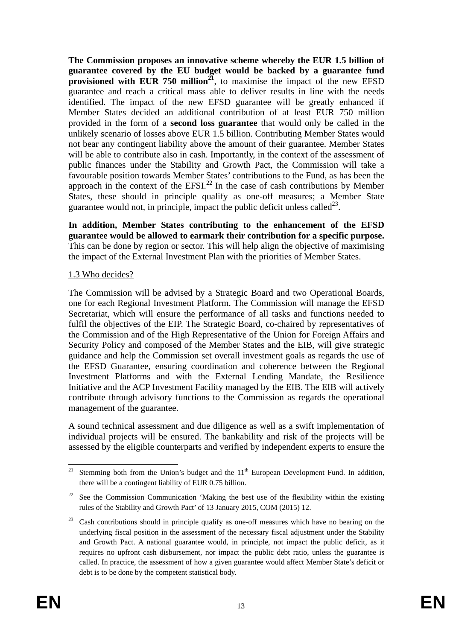**The Commission proposes an innovative scheme whereby the EUR 1.5 billion of guarantee covered by the EU budget would be backed by a guarantee fund provisioned with EUR 750 million**<sup>21</sup>, to maximise the impact of the new EFSD guarantee and reach a critical mass able to deliver results in line with the needs identified. The impact of the new EFSD guarantee will be greatly enhanced if Member States decided an additional contribution of at least EUR 750 million provided in the form of a **second loss guarantee** that would only be called in the unlikely scenario of losses above EUR 1.5 billion. Contributing Member States would not bear any contingent liability above the amount of their guarantee. Member States will be able to contribute also in cash. Importantly, in the context of the assessment of public finances under the Stability and Growth Pact, the Commission will take a favourable position towards Member States' contributions to the Fund, as has been the approach in the context of the EFSI $^{22}$  In the case of cash contributions by Member States, these should in principle qualify as one-off measures; a Member State guarantee would not, in principle, impact the public deficit unless called<sup>23</sup>.

**In addition, Member States contributing to the enhancement of the EFSD guarantee would be allowed to earmark their contribution for a specific purpose.**  This can be done by region or sector. This will help align the objective of maximising the impact of the External Investment Plan with the priorities of Member States.

#### 1.3 Who decides?

The Commission will be advised by a Strategic Board and two Operational Boards, one for each Regional Investment Platform. The Commission will manage the EFSD Secretariat, which will ensure the performance of all tasks and functions needed to fulfil the objectives of the EIP. The Strategic Board, co-chaired by representatives of the Commission and of the High Representative of the Union for Foreign Affairs and Security Policy and composed of the Member States and the EIB, will give strategic guidance and help the Commission set overall investment goals as regards the use of the EFSD Guarantee, ensuring coordination and coherence between the Regional Investment Platforms and with the External Lending Mandate, the Resilience Initiative and the ACP Investment Facility managed by the EIB. The EIB will actively contribute through advisory functions to the Commission as regards the operational management of the guarantee.

A sound technical assessment and due diligence as well as a swift implementation of individual projects will be ensured. The bankability and risk of the projects will be assessed by the eligible counterparts and verified by independent experts to ensure the

**<sup>.</sup>** <sup>21</sup> Stemming both from the Union's budget and the  $11<sup>th</sup>$  European Development Fund. In addition, there will be a contingent liability of EUR 0.75 billion.

<sup>&</sup>lt;sup>22</sup> See the Commission Communication 'Making the best use of the flexibility within the existing rules of the Stability and Growth Pact' of 13 January 2015, COM (2015) 12.

<sup>&</sup>lt;sup>23</sup> Cash contributions should in principle qualify as one-off measures which have no bearing on the underlying fiscal position in the assessment of the necessary fiscal adjustment under the Stability and Growth Pact. A national guarantee would, in principle, not impact the public deficit, as it requires no upfront cash disbursement, nor impact the public debt ratio, unless the guarantee is called. In practice, the assessment of how a given guarantee would affect Member State's deficit or debt is to be done by the competent statistical body.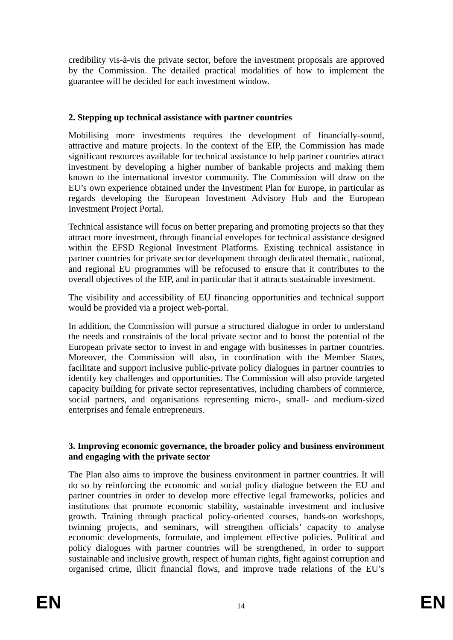credibility vis-à-vis the private sector, before the investment proposals are approved by the Commission. The detailed practical modalities of how to implement the guarantee will be decided for each investment window.

## **2. Stepping up technical assistance with partner countries**

Mobilising more investments requires the development of financially-sound, attractive and mature projects. In the context of the EIP, the Commission has made significant resources available for technical assistance to help partner countries attract investment by developing a higher number of bankable projects and making them known to the international investor community. The Commission will draw on the EU's own experience obtained under the Investment Plan for Europe, in particular as regards developing the European Investment Advisory Hub and the European Investment Project Portal.

Technical assistance will focus on better preparing and promoting projects so that they attract more investment, through financial envelopes for technical assistance designed within the EFSD Regional Investment Platforms. Existing technical assistance in partner countries for private sector development through dedicated thematic, national, and regional EU programmes will be refocused to ensure that it contributes to the overall objectives of the EIP, and in particular that it attracts sustainable investment.

The visibility and accessibility of EU financing opportunities and technical support would be provided via a project web-portal.

In addition, the Commission will pursue a structured dialogue in order to understand the needs and constraints of the local private sector and to boost the potential of the European private sector to invest in and engage with businesses in partner countries. Moreover, the Commission will also, in coordination with the Member States, facilitate and support inclusive public-private policy dialogues in partner countries to identify key challenges and opportunities. The Commission will also provide targeted capacity building for private sector representatives, including chambers of commerce, social partners, and organisations representing micro-, small- and medium-sized enterprises and female entrepreneurs.

#### **3. Improving economic governance, the broader policy and business environment and engaging with the private sector**

The Plan also aims to improve the business environment in partner countries. It will do so by reinforcing the economic and social policy dialogue between the EU and partner countries in order to develop more effective legal frameworks, policies and institutions that promote economic stability, sustainable investment and inclusive growth. Training through practical policy-oriented courses, hands-on workshops, twinning projects, and seminars, will strengthen officials' capacity to analyse economic developments, formulate, and implement effective policies. Political and policy dialogues with partner countries will be strengthened, in order to support sustainable and inclusive growth, respect of human rights, fight against corruption and organised crime, illicit financial flows, and improve trade relations of the EU's